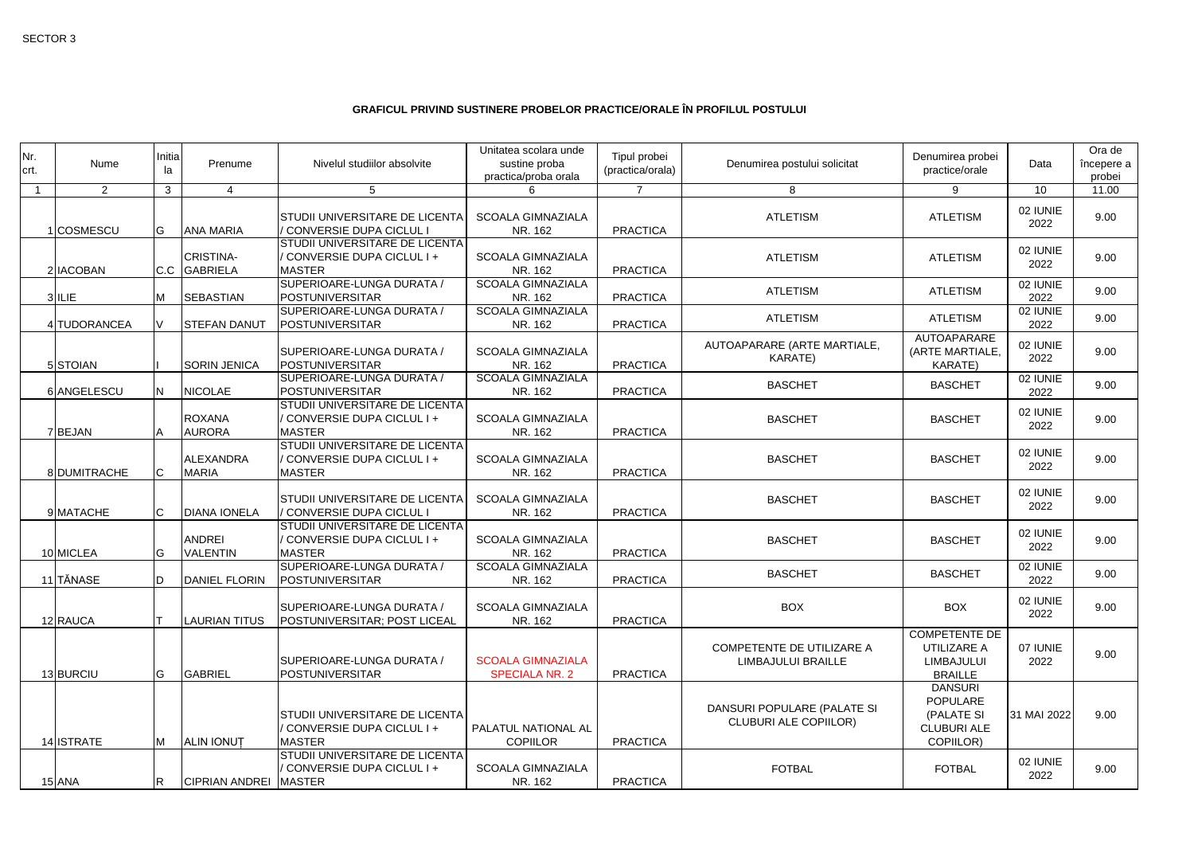## **GRAFICUL PRIVIND SUSTINERE PROBELOR PRACTICE/ORALE ÎN PROFILUL POSTULUI**

| Nr.<br>crt.    | Nume         | Initia<br>la | Prenume                          | Nivelul studiilor absolvite                                                         | Unitatea scolara unde<br>sustine proba<br>practica/proba orala | Tipul probei<br>(practica/orala) | Denumirea postului solicitat                                | Denumirea probei<br>practice/orale                                          | Data             | Ora de<br>începere a<br>probei |
|----------------|--------------|--------------|----------------------------------|-------------------------------------------------------------------------------------|----------------------------------------------------------------|----------------------------------|-------------------------------------------------------------|-----------------------------------------------------------------------------|------------------|--------------------------------|
| $\overline{1}$ | 2            | $\mathbf{3}$ |                                  | 5                                                                                   | 6                                                              | $\overline{7}$                   | 8                                                           | 9                                                                           | $\overline{10}$  | 11.00                          |
|                | 1 COSMESCU   | IG           | <b>ANA MARIA</b>                 | <b>STUDII UNIVERSITARE DE LICENTA</b><br>CONVERSIE DUPA CICLUL I                    | <b>SCOALA GIMNAZIALA</b><br>NR. 162                            | <b>PRACTICA</b>                  | <b>ATLETISM</b>                                             | <b>ATLETISM</b>                                                             | 02 IUNIE<br>2022 | 9.00                           |
|                | 2 IACOBAN    | C.C          | <b>CRISTINA-</b><br>GABRIELA     | <b>STUDII UNIVERSITARE DE LICENTA</b><br>CONVERSIE DUPA CICLUL I +<br><b>MASTER</b> | <b>SCOALA GIMNAZIALA</b><br>NR. 162                            | <b>PRACTICA</b>                  | <b>ATLETISM</b>                                             | <b>ATLETISM</b>                                                             | 02 IUNIE<br>2022 | 9.00                           |
|                | 3 ILIE       | M            | <b>SEBASTIAN</b>                 | SUPERIOARE-LUNGA DURATA /<br>POSTUNIVERSITAR                                        | <b>SCOALA GIMNAZIALA</b><br>NR. 162                            | <b>PRACTICA</b>                  | <b>ATLETISM</b>                                             | <b>ATLETISM</b>                                                             | 02 IUNIE<br>2022 | 9.00                           |
|                | 4 TUDORANCEA | V            | <b>STEFAN DANUT</b>              | SUPERIOARE-LUNGA DURATA /<br>POSTUNIVERSITAR                                        | <b>SCOALA GIMNAZIALA</b><br>NR. 162                            | <b>PRACTICA</b>                  | <b>ATLETISM</b>                                             | <b>ATLETISM</b>                                                             | 02 IUNIE<br>2022 | 9.00                           |
|                | 5 STOIAN     |              | <b>SORIN JENICA</b>              | <b>SUPERIOARE-LUNGA DURATA /</b><br>POSTUNIVERSITAR                                 | <b>SCOALA GIMNAZIALA</b><br>NR. 162                            | <b>PRACTICA</b>                  | AUTOAPARARE (ARTE MARTIALE,<br><b>KARATE)</b>               | AUTOAPARARE<br>(ARTE MARTIALE,<br><b>KARATE)</b>                            | 02 IUNIE<br>2022 | 9.00                           |
|                | 6 ANGELESCU  | IN.          | <b>NICOLAE</b>                   | SUPERIOARE-LUNGA DURATA /<br>POSTUNIVERSITAR                                        | <b>SCOALA GIMNAZIALA</b><br>NR. 162                            | <b>PRACTICA</b>                  | <b>BASCHET</b>                                              | <b>BASCHET</b>                                                              | 02 IUNIE<br>2022 | 9.00                           |
|                | 7BEJAN       |              | <b>ROXANA</b><br><b>AURORA</b>   | <b>STUDII UNIVERSITARE DE LICENTA</b><br>CONVERSIE DUPA CICLUL I +<br><b>MASTER</b> | <b>SCOALA GIMNAZIALA</b><br>NR. 162                            | <b>PRACTICA</b>                  | <b>BASCHET</b>                                              | <b>BASCHET</b>                                                              | 02 IUNIE<br>2022 | 9.00                           |
|                | 8 DUMITRACHE |              | <b>ALEXANDRA</b><br><b>MARIA</b> | <b>STUDII UNIVERSITARE DE LICENTA</b><br>CONVERSIE DUPA CICLUL I +<br><b>MASTER</b> | <b>SCOALA GIMNAZIALA</b><br>NR. 162                            | <b>PRACTICA</b>                  | <b>BASCHET</b>                                              | <b>BASCHET</b>                                                              | 02 IUNIE<br>2022 | 9.00                           |
|                | 9 MATACHE    |              | <b>DIANA IONELA</b>              | <b>STUDII UNIVERSITARE DE LICENTA</b><br>CONVERSIE DUPA CICLUL I                    | <b>SCOALA GIMNAZIALA</b><br>NR. 162                            | <b>PRACTICA</b>                  | <b>BASCHET</b>                                              | <b>BASCHET</b>                                                              | 02 IUNIE<br>2022 | 9.00                           |
|                | 10 MICLEA    | G            | <b>ANDREI</b><br><b>VALENTIN</b> | <b>STUDII UNIVERSITARE DE LICENTA</b><br>CONVERSIE DUPA CICLUL I +<br><b>MASTER</b> | <b>SCOALA GIMNAZIALA</b><br>NR. 162                            | <b>PRACTICA</b>                  | <b>BASCHET</b>                                              | <b>BASCHET</b>                                                              | 02 IUNIE<br>2022 | 9.00                           |
|                | 11 TĂNASE    | ID           | <b>DANIEL FLORIN</b>             | SUPERIOARE-LUNGA DURATA /<br>POSTUNIVERSITAR                                        | <b>SCOALA GIMNAZIALA</b><br>NR. 162                            | <b>PRACTICA</b>                  | <b>BASCHET</b>                                              | <b>BASCHET</b>                                                              | 02 IUNIE<br>2022 | 9.00                           |
|                | 12 RAUCA     |              | <b>LAURIAN TITUS</b>             | SUPERIOARE-LUNGA DURATA /<br>POSTUNIVERSITAR; POST LICEAL                           | <b>SCOALA GIMNAZIALA</b><br>NR. 162                            | <b>PRACTICA</b>                  | <b>BOX</b>                                                  | <b>BOX</b>                                                                  | 02 IUNIE<br>2022 | 9.00                           |
|                | 13 BURCIU    | lG.          | GABRIEL                          | <b>SUPERIOARE-LUNGA DURATA /</b><br>POSTUNIVERSITAR                                 | <b>SCOALA GIMNAZIALA</b><br><b>SPECIALA NR. 2</b>              | <b>PRACTICA</b>                  | COMPETENTE DE UTILIZARE A<br>LIMBAJULUI BRAILLE             | <b>COMPETENTE DE</b><br>UTILIZARE A<br><b>LIMBAJULUI</b><br><b>BRAILLE</b>  | 07 IUNIE<br>2022 | 9.00                           |
|                | 14 ISTRATE   | M            | <b>ALIN IONUT</b>                | <b>STUDII UNIVERSITARE DE LICENTA</b><br>CONVERSIE DUPA CICLUL I +<br><b>MASTER</b> | PALATUL NATIONAL AL<br><b>COPIILOR</b>                         | <b>PRACTICA</b>                  | DANSURI POPULARE (PALATE SI<br><b>CLUBURI ALE COPIILOR)</b> | <b>DANSURI</b><br>POPULARE<br>(PALATE SI<br><b>CLUBURI ALE</b><br>COPIILOR) | 31 MAI 2022      | 9.00                           |
|                | 15 ANA       | IR.          | CIPRIAN ANDREI MASTER            | <b>STUDII UNIVERSITARE DE LICENTA</b><br>CONVERSIE DUPA CICLUL I +                  | <b>SCOALA GIMNAZIALA</b><br>NR. 162                            | <b>PRACTICA</b>                  | <b>FOTBAL</b>                                               | <b>FOTBAL</b>                                                               | 02 IUNIE<br>2022 | 9.00                           |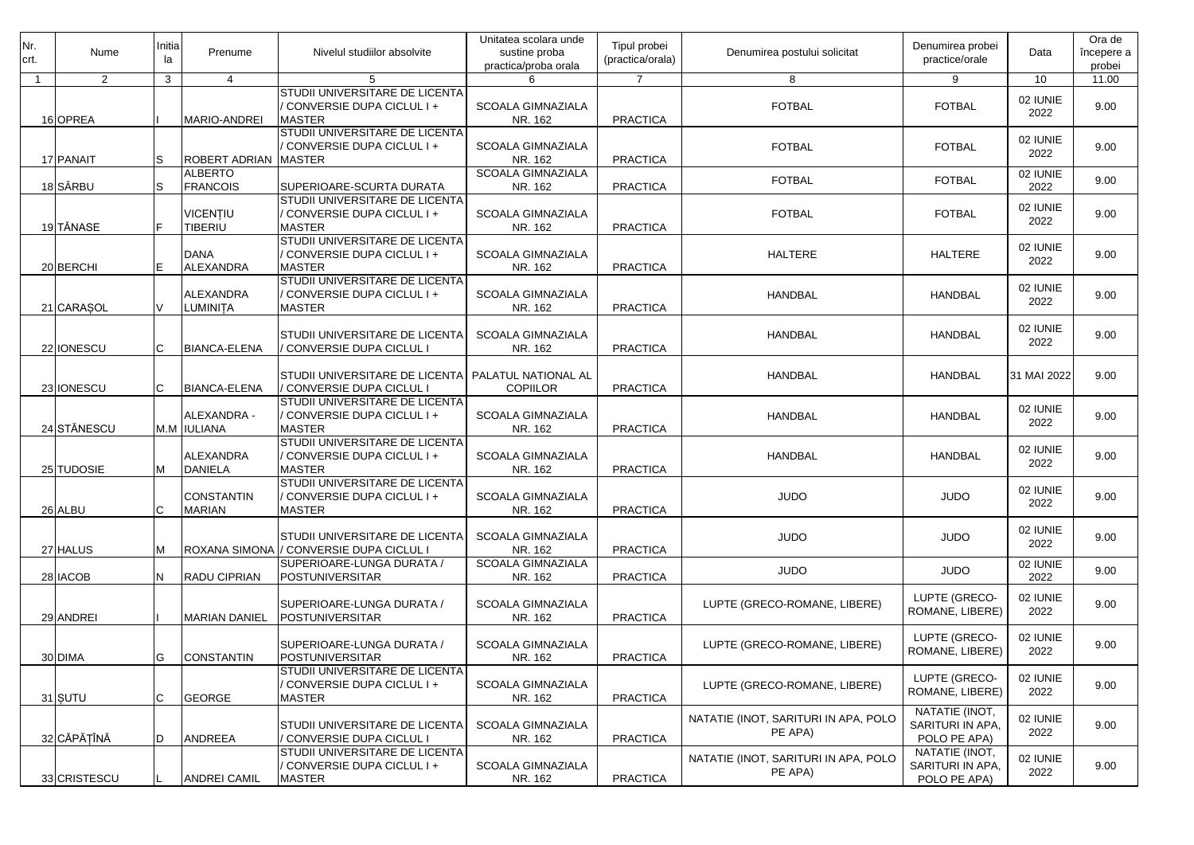| INr.<br>crt. | Nume           | Initia<br>la   | Prenume                            | Nivelul studiilor absolvite                                                         | Unitatea scolara unde<br>sustine proba<br>practica/proba orala | Tipul probei<br>(practica/orala) | Denumirea postului solicitat                    | Denumirea probei<br>practice/orale                 | Data             | Ora de<br>începere a<br>probei |
|--------------|----------------|----------------|------------------------------------|-------------------------------------------------------------------------------------|----------------------------------------------------------------|----------------------------------|-------------------------------------------------|----------------------------------------------------|------------------|--------------------------------|
| -1           | $\overline{2}$ | 3 <sup>1</sup> | 4                                  | 5                                                                                   | 6                                                              | $\overline{7}$                   | 8                                               | 9                                                  | 10               | 11.00                          |
|              | 16OPREA        |                | MARIO-ANDREI                       | STUDII UNIVERSITARE DE LICENTA<br>CONVERSIE DUPA CICLUL I +<br><b>MASTER</b>        | <b>SCOALA GIMNAZIALA</b><br>NR. 162                            | <b>PRACTICA</b>                  | <b>FOTBAL</b>                                   | <b>FOTBAL</b>                                      | 02 IUNIE<br>2022 | 9.00                           |
|              | 17 PANAIT      | S              | <b>ROBERT ADRIAN</b>               | STUDII UNIVERSITARE DE LICENTA<br>CONVERSIE DUPA CICLUL I +<br><b>MASTER</b>        | <b>SCOALA GIMNAZIALA</b><br>NR. 162                            | <b>PRACTICA</b>                  | <b>FOTBAL</b>                                   | <b>FOTBAL</b>                                      | 02 IUNIE<br>2022 | 9.00                           |
|              | 18 SÂRBU       | lS             | <b>ALBERTO</b><br><b>FRANCOIS</b>  | SUPERIOARE-SCURTA DURATA                                                            | <b>SCOALA GIMNAZIALA</b><br>NR. 162                            | <b>PRACTICA</b>                  | <b>FOTBAL</b>                                   | <b>FOTBAL</b>                                      | 02 IUNIE<br>2022 | 9.00                           |
|              | 19 TĂNASE      | E              | VICENTIU<br><b>TIBERIU</b>         | STUDII UNIVERSITARE DE LICENTA<br>CONVERSIE DUPA CICLUL I +<br><b>MASTER</b>        | <b>SCOALA GIMNAZIALA</b><br>NR. 162                            | <b>PRACTICA</b>                  | <b>FOTBAL</b>                                   | <b>FOTBAL</b>                                      | 02 IUNIE<br>2022 | 9.00                           |
|              | 20 BERCHI      | E              | <b>DANA</b><br><b>ALEXANDRA</b>    | STUDII UNIVERSITARE DE LICENTA<br>CONVERSIE DUPA CICLUL I +<br><b>MASTER</b>        | <b>SCOALA GIMNAZIALA</b><br>NR. 162                            | <b>PRACTICA</b>                  | <b>HALTERE</b>                                  | <b>HALTERE</b>                                     | 02 IUNIE<br>2022 | 9.00                           |
|              | 21 CARASOL     |                | <b>ALEXANDRA</b><br>LUMINITA       | <b>STUDII UNIVERSITARE DE LICENTA</b><br>CONVERSIE DUPA CICLUL I +<br><b>MASTER</b> | <b>SCOALA GIMNAZIALA</b><br>NR. 162                            | <b>PRACTICA</b>                  | <b>HANDBAL</b>                                  | <b>HANDBAL</b>                                     | 02 IUNIE<br>2022 | 9.00                           |
|              | 22 IONESCU     | lC.            | <b>BIANCA-ELENA</b>                | STUDII UNIVERSITARE DE LICENTA<br>CONVERSIE DUPA CICLUL I                           | <b>SCOALA GIMNAZIALA</b><br>NR. 162                            | <b>PRACTICA</b>                  | <b>HANDBAL</b>                                  | <b>HANDBAL</b>                                     | 02 IUNIE<br>2022 | 9.00                           |
|              | 23 IONESCU     | lC.            | <b>BIANCA-ELENA</b>                | STUDII UNIVERSITARE DE LICENTA PALATUL NATIONAL AL<br>CONVERSIE DUPA CICLUL I       | <b>COPIILOR</b>                                                | <b>PRACTICA</b>                  | <b>HANDBAL</b>                                  | <b>HANDBAL</b>                                     | 31 MAI 2022      | 9.00                           |
|              | 24 STĂNESCU    |                | ALEXANDRA -<br>M.M IULIANA         | STUDII UNIVERSITARE DE LICENTA<br>CONVERSIE DUPA CICLUL I +<br><b>MASTER</b>        | <b>SCOALA GIMNAZIALA</b><br>NR. 162                            | <b>PRACTICA</b>                  | <b>HANDBAL</b>                                  | <b>HANDBAL</b>                                     | 02 IUNIE<br>2022 | 9.00                           |
|              | 25 TUDOSIE     | M              | <b>ALEXANDRA</b><br><b>DANIELA</b> | STUDII UNIVERSITARE DE LICENTA<br>CONVERSIE DUPA CICLUL I +<br><b>MASTER</b>        | <b>SCOALA GIMNAZIALA</b><br>NR. 162                            | <b>PRACTICA</b>                  | <b>HANDBAL</b>                                  | <b>HANDBAL</b>                                     | 02 IUNIE<br>2022 | 9.00                           |
|              | 26 ALBU        | $\cap$<br>◡    | <b>CONSTANTIN</b><br><b>MARIAN</b> | STUDII UNIVERSITARE DE LICENTA<br>CONVERSIE DUPA CICLUL I +<br><b>MASTER</b>        | <b>SCOALA GIMNAZIALA</b><br>NR. 162                            | <b>PRACTICA</b>                  | <b>JUDO</b>                                     | <b>JUDO</b>                                        | 02 IUNIE<br>2022 | 9.00                           |
|              | 27 HALUS       | M              | <b>ROXANA SIMONA</b>               | STUDII UNIVERSITARE DE LICENTA<br>/ CONVERSIE DUPA CICLUL I                         | <b>SCOALA GIMNAZIALA</b><br>NR. 162                            | <b>PRACTICA</b>                  | <b>JUDO</b>                                     | <b>JUDO</b>                                        | 02 IUNIE<br>2022 | 9.00                           |
|              | 28 IACOB       | IN.            | <b>RADU CIPRIAN</b>                | SUPERIOARE-LUNGA DURATA /<br><b>POSTUNIVERSITAR</b>                                 | <b>SCOALA GIMNAZIALA</b><br>NR. 162                            | <b>PRACTICA</b>                  | <b>JUDO</b>                                     | <b>JUDO</b>                                        | 02 IUNIE<br>2022 | 9.00                           |
|              | 29 ANDREI      |                | <b>MARIAN DANIEL</b>               | SUPERIOARE-LUNGA DURATA /<br>POSTUNIVERSITAR                                        | <b>SCOALA GIMNAZIALA</b><br>NR. 162                            | <b>PRACTICA</b>                  | LUPTE (GRECO-ROMANE, LIBERE)                    | LUPTE (GRECO-<br>ROMANE, LIBERE)                   | 02 IUNIE<br>2022 | 9.00                           |
|              | 30 DIMA        | G              | <b>CONSTANTIN</b>                  | SUPERIOARE-LUNGA DURATA /<br>POSTUNIVERSITAR                                        | <b>SCOALA GIMNAZIALA</b><br>NR. 162                            | <b>PRACTICA</b>                  | LUPTE (GRECO-ROMANE, LIBERE)                    | LUPTE (GRECO-<br>ROMANE, LIBERE)                   | 02 IUNIE<br>2022 | 9.00                           |
|              | 31 SUTU        | C              | GEORGE                             | STUDII UNIVERSITARE DE LICENTA<br>CONVERSIE DUPA CICLUL I +<br><b>MASTER</b>        | <b>SCOALA GIMNAZIALA</b><br>NR. 162                            | <b>PRACTICA</b>                  | LUPTE (GRECO-ROMANE, LIBERE)                    | LUPTE (GRECO-<br>ROMANE, LIBERE)                   | 02 IUNIE<br>2022 | 9.00                           |
|              | 32 CĂPĂȚÎNĂ    | ID             | <b>ANDREEA</b>                     | STUDII UNIVERSITARE DE LICENTA<br>CONVERSIE DUPA CICLUL I                           | <b>SCOALA GIMNAZIALA</b><br>NR. 162                            | <b>PRACTICA</b>                  | NATATIE (INOT, SARITURI IN APA, POLO<br>PE APA) | NATATIE (INOT,<br>SARITURI IN APA,<br>POLO PE APA) | 02 IUNIE<br>2022 | 9.00                           |
|              | 33 CRISTESCU   |                | <b>ANDREI CAMIL</b>                | STUDII UNIVERSITARE DE LICENTA<br>CONVERSIE DUPA CICLUL I +<br><b>MASTER</b>        | SCOALA GIMNAZIALA<br>NR. 162                                   | <b>PRACTICA</b>                  | NATATIE (INOT, SARITURI IN APA, POLO<br>PE APA) | NATATIE (INOT,<br>SARITURI IN APA,<br>POLO PE APA) | 02 IUNIE<br>2022 | 9.00                           |